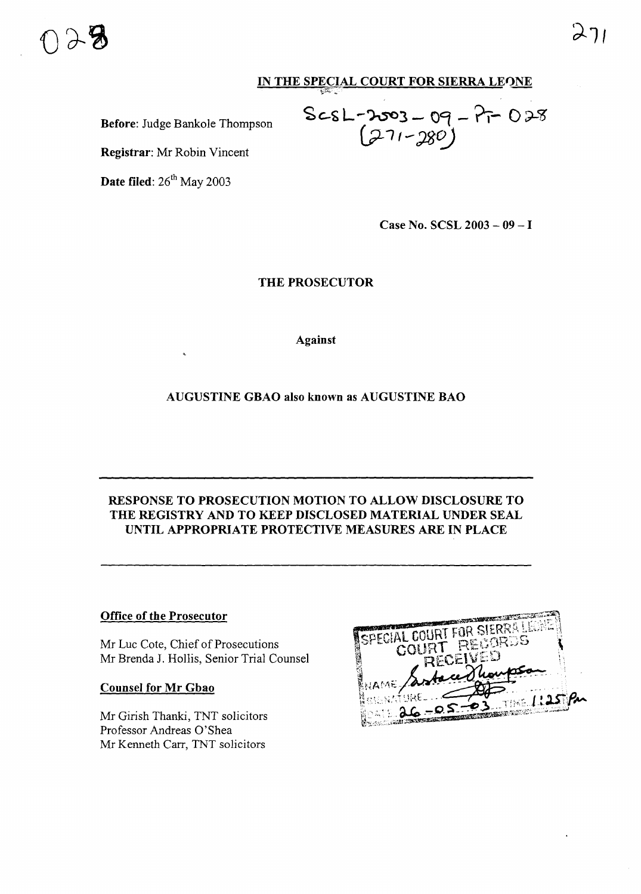

## **IN THE SPECIAL COURT FOR SIERRA LEONE**

£c-~L-~3- **09 -?t-** o~<g

 $\sim$  11 - 280 )

**Before:** Judge Bankole Thompson

**Registrar:** Mr Robin Vincent

**Date filed:** 26<sup>th</sup> May 2003

**Case No. SCSL 2003 - 09** - I

**THE PROSECUTOR**

"~~-''';-

**Against**

**AUGUSTINE GBAO also known as AUGUSTINE BAO**

## **RESPONSE TO PROSECUTION MOTION TO ALLOW DISCLOSURE TO THE REGISTRY AND TO KEEP DISCLOSED MATERIAL UNDER SEAL UNTIL APPROPRIATE PROTECTIVE MEASURES ARE IN PLACE**

## **Office of the Prosecutor**

Mr Luc Cote, Chief of Prosecutions Mr Brenda J. Hollis, Senior Trial Counsel

## **Counsel for Mr Gbao**

Mr Girish Thanki, TNT solicitors Professor Andreas O'Shea Mr Kenneth Carr, TNT solicitors

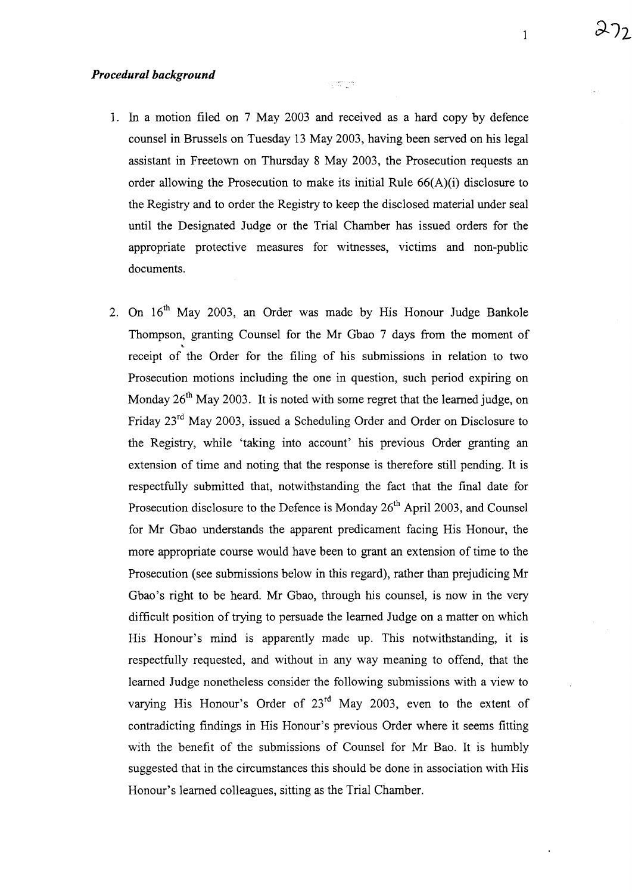1. In a motion filed on 7 May 2003 and received as a hard copy by defence counsel in Brussels on Tuesday 13 May 2003, having been served on his legal assistant in Freetown on Thursday 8 May 2003, the Prosecution requests an order allowing the Prosecution to make its initial Rule  $66(A)(i)$  disclosure to the Registry and to order the Registry to keep the disclosed material under seal until the Designated Judge or the Trial Chamber has issued orders for the appropriate protective measures for witnesses, victims and non-public documents.

 $\begin{array}{c} \gamma_1 \rightarrow \gamma_1 \rightarrow \gamma_2 \rightarrow \gamma_1 \rightarrow \gamma_2 \rightarrow \gamma_1 \rightarrow \gamma_1 \rightarrow \gamma_1 \rightarrow \gamma_1 \rightarrow \gamma_1 \rightarrow \gamma_1 \rightarrow \gamma_1 \rightarrow \gamma_1 \rightarrow \gamma_1 \rightarrow \gamma_1 \rightarrow \gamma_1 \rightarrow \gamma_1 \rightarrow \gamma_1 \rightarrow \gamma_1 \rightarrow \gamma_1 \rightarrow \gamma_1 \rightarrow \gamma_1 \rightarrow \gamma_1 \rightarrow \gamma_1 \rightarrow \gamma_1 \rightarrow \gamma_1 \rightarrow \gamma_1 \rightarrow \gamma_1 \rightarrow \gamma_1 \rightarrow \gamma_1 \rightarrow \gamma_1 \rightarrow \gamma_1 \rightarrow \gamma_1 \rightarrow \gamma_1 \rightarrow \gamma_1 \rightarrow \gamma_$ 

2. On  $16<sup>th</sup>$  May 2003, an Order was made by His Honour Judge Bankole Thompson, granting Counsel for the Mr Gbao 7 days from the moment of receipt of the Order for the filing of his submissions in relation to two Prosecution motions including the one in question, such period expiring on Monday  $26<sup>th</sup>$  May 2003. It is noted with some regret that the learned judge, on Friday 23rd May 2003, issued a Scheduling Order and Order on Disclosure to the Registry, while 'taking into account' his previous Order granting an extension of time and noting that the response is therefore still pending. It is respectfully submitted that, notwithstanding the fact that the final date for Prosecution disclosure to the Defence is Monday  $26<sup>th</sup>$  April 2003, and Counsel for Mr Gbao understands the apparent predicament facing His Honour, the more appropriate course would have been to grant an extension of time to the Prosecution (see submissions below in this regard), rather than prejudicing Mr Gbao's right to be heard. Mr Gbao, through his counsel, is now in the very difficult position of trying to persuade the learned Judge on a matter on which His Honour's mind is apparently made up. This notwithstanding, it is respectfully requested, and without in any way meaning to offend, that the learned Judge nonetheless consider the following submissions with a view to varying His Honour's Order of 23<sup>rd</sup> May 2003, even to the extent of contradicting findings in His Honour's previous Order where it seems fitting with the benefit of the submissions of Counsel for Mr Bao. It is humbly suggested that in the circumstances this should be done in association with His Honour's learned colleagues, sitting as the Trial Chamber.

1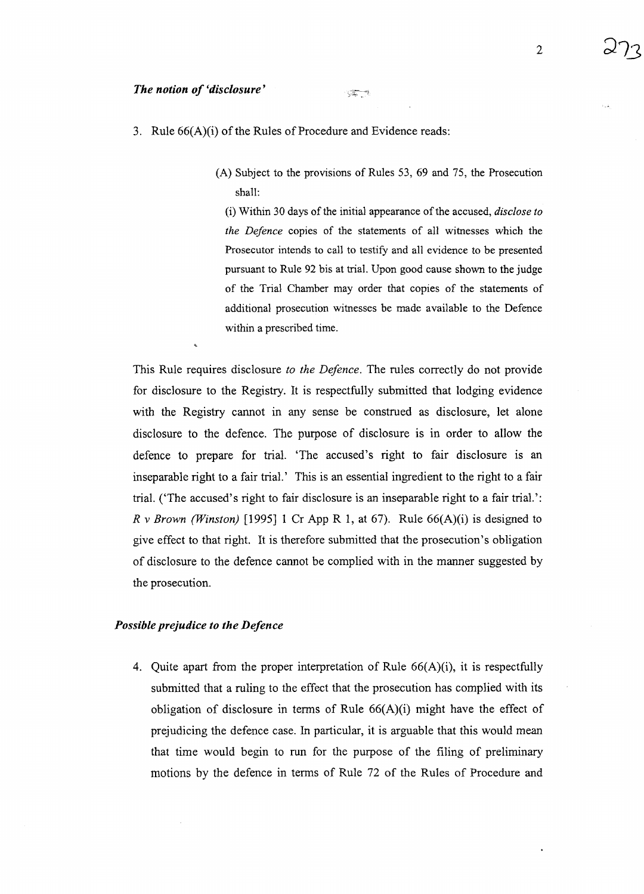(A) Subject to the provisions of Rules 53, 69 and 75, the Prosecution shall:

 $\frac{1}{2}\frac{d\phi}{d\phi}=\frac{2\phi}{\lambda}$ 

(i) Within 30 daysof the initial appearance of the accused, *disclose to the Defence* copies of the statements of all witnesses which the Prosecutor intends to call to testify and all evidence to be presented pursuant to Rule 92 bis at trial. Upon good cause shown to the judge of the Trial Chamber may order that copies of the statements of additional prosecution witnesses be made available to the Defence within a prescribed time.

This Rule requires disclosure *to the Defence.* The rules correctly do not provide for disclosure to the Registry. It is respectfully submitted that lodging evidence with the Registry cannot in any sense be construed as disclosure, let alone disclosure to the defence. The purpose of disclosure is in order to allow the defence to prepare for trial. 'The accused's right to fair disclosure is an inseparable right to a fair trial.' This is an essential ingredient to the right to a fair trial. ('The accused's right to fair disclosure is an inseparable right to a fair trial.': *R* v *Brown (Winston)* [1995] 1 Cr App R 1, at 67). Rule  $66(A)(i)$  is designed to give effect to that right. It is therefore submitted that the prosecution's obligation of disclosure to the defence cannot be complied with in the manner suggested by the prosecution.

#### *Possible prejudice to the Defence*

4. Quite apart from the proper interpretation of Rule 66(A)(i), it is respectfully submitted that a ruling to the effect that the prosecution has complied with its obligation of disclosure in terms of Rule  $66(A)(i)$  might have the effect of prejudicing the defence case. In particular, it is arguable that this would mean that time would begin to run for the purpose of the filing of preliminary motions by the defence in terms of Rule 72 of the Rules of Procedure and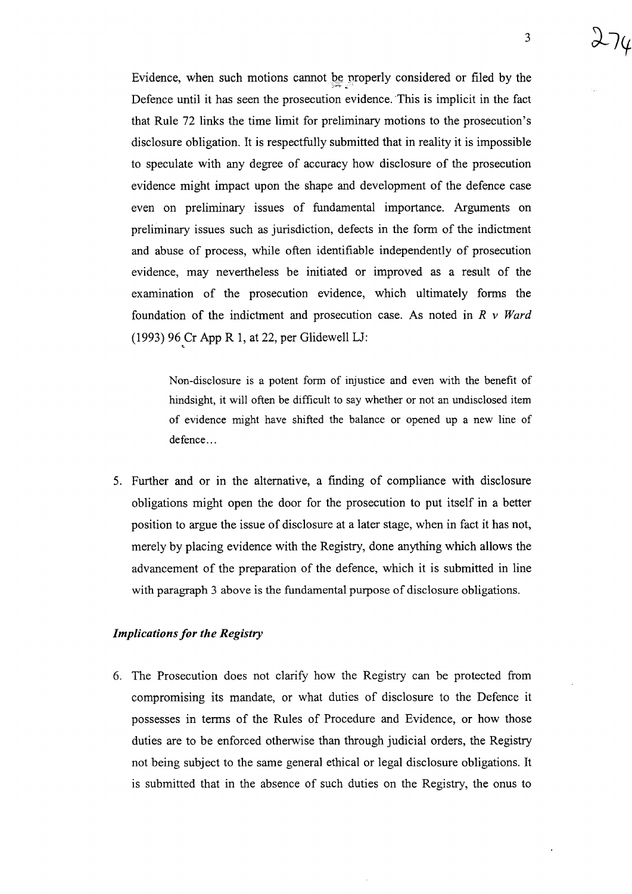3

Evidence, when such motions cannot be properly considered or filed by the Defence until it has seen the prosecution evidence. This is implicit in the fact that Rule 72 links the time limit for preliminary motions to the prosecution's disclosure obligation. It is respectfully submitted that in reality it is impossible to speculate with any degree of accuracy how disclosure of the prosecution evidence might impact upon the shape and development of the defence case even on preliminary issues of fundamental importance. Arguments on preliminary issues such as jurisdiction, defects in the form of the indictment and abuse of process, while often identifiable independently of prosecution evidence, may nevertheless be initiated or improved as a result of the examination of the prosecution evidence, which ultimately forms the foundation of the indictment and prosecution case. As noted in *R* v *Ward* (1993) 96 Cr App R 1, at 22, per Glidewell LJ:

Non-disclosure is a potent form of injustice and even with the benefit of hindsight, it will often be difficult to say whether or not an undisclosed item of evidence might have shifted the balance or opened up a new line of defence...

5. Further and or in the alternative, a finding of compliance with disclosure obligations might open the door for the prosecution to put itself in a better position to argue the issue of disclosure at a later stage, when in fact it has not, merely by placing evidence with the Registry, done anything which allows the advancement of the preparation of the defence, which it is submitted in line with paragraph 3 above is the fundamental purpose of disclosure obligations.

#### *Implications for the Registry*

6. The Prosecution does not clarify how the Registry can be protected from compromising its mandate, or what duties of disclosure to the Defence it possesses in terms of the Rules of Procedure and Evidence, or how those duties are to be enforced otherwise than through judicial orders, the Registry not being subject to the same general ethical or legal disclosure obligations. It is submitted that in the absence of such duties on the Registry, the onus to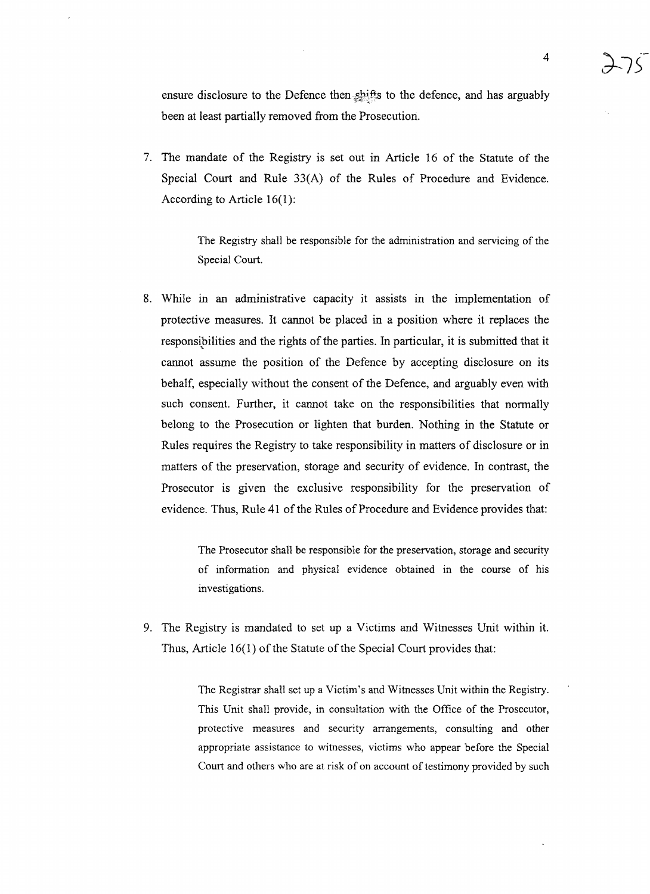ensure disclosure to the Defence then shifts to the defence, and has arguably been at least partially removed from the Prosecution.

7. The mandate of the Registry is set out in Article 16 of the Statute of the Special Court and Rule 33(A) of the Rules of Procedure and Evidence. According to Article 16(1):

> The Registry shall be responsible for the administration and servicing of the Special Court.

8. While in an administrative capacity it assists in the implementation of protective measures. It cannot be placed in a position where it replaces the responsibilities and the rights of the parties. In particular, it is submitted that it cannot assume the position of the Defence by accepting disclosure on its behalf, especially without the consent of the Defence, and arguably even with such consent. Further, it cannot take on the responsibilities that normally belong to the Prosecution or lighten that burden. Nothing in the Statute or Rules requires the Registry to take responsibility in matters of disclosure or in matters of the preservation, storage and security of evidence. In contrast, the Prosecutor is given the exclusive responsibility for the preservation of evidence. Thus, Rule 41 of the Rules of Procedure and Evidence provides that:

> The Prosecutor shall be responsible for the preservation, storage and security of information and physical evidence obtained in the course of his investigations.

9. The Registry is mandated to set up a Victims and Witnesses Unit within it. Thus, Article  $16(1)$  of the Statute of the Special Court provides that:

> The Registrar shall set up a Victim's and Witnesses Unit within the Registry. This Unit shall provide, in consultation with the Office of the Prosecutor, protective measures and security arrangements, consulting and other appropriate assistance to witnesses, victims who appear before the Special Court and others who are at risk of on account of testimony provided by such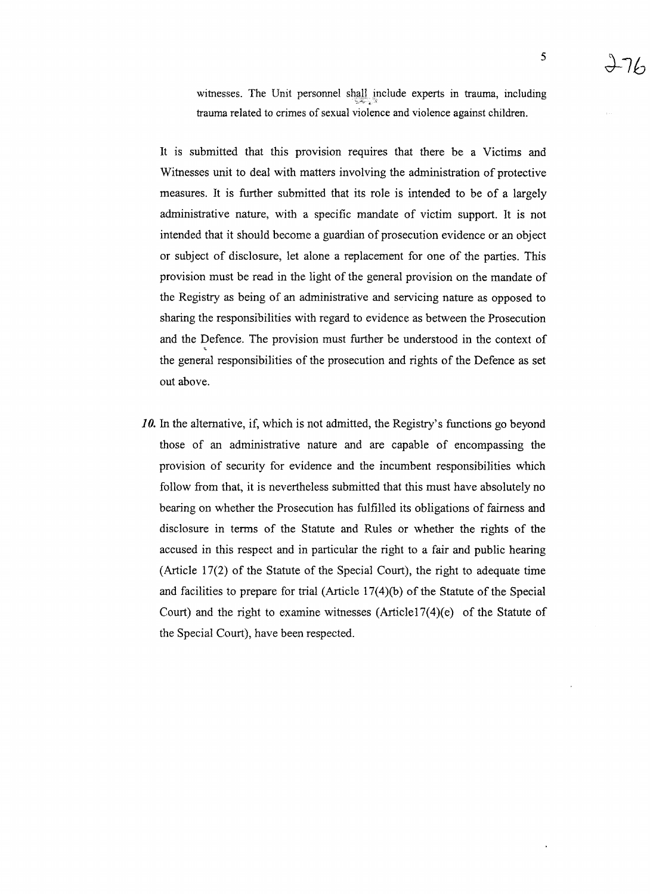witnesses. The Unit personnel shall include experts in trauma, including *'i;-i.....*#·-:t.'''' trauma related to crimes of sexual violence and violence against children.

It is submitted that this provision requires that there be a Victims and Witnesses unit to deal with matters involving the administration of protective measures. It is further submitted that its role is intended to be of a largely administrative nature, with a specific mandate of victim support. It is not intended that it should become a guardian of prosecution evidence or an object or subject of disclosure, let alone a replacement for one of the parties. This provision must be read in the light of the general provision on the mandate of the Registry as being of an administrative and servicing nature as opposed to sharing the responsibilities with regard to evidence as between the Prosecution and the Defence. The provision must further be understood in the context of the general responsibilities of the prosecution and rights of the Defence as set out above.

*10.* In the alternative, if, which is not admitted, the Registry's functions go beyond those of an administrative nature and are capable of encompassing the provision of security for evidence and the incumbent responsibilities which follow from that, it is nevertheless submitted that this must have absolutely no bearing on whether the Prosecution has fulfilled its obligations of fairness and disclosure in terms of the Statute and Rules or whether the rights of the accused in this respect and in particular the right to a fair and public hearing (Article 17(2) of the Statute of the Special Court), the right to adequate time and facilities to prepare for trial (Article  $17(4)(b)$  of the Statute of the Special Court) and the right to examine witnesses  $(Article17(4)(e)$  of the Statute of the Special Court), have been respected.

5

*d-7b*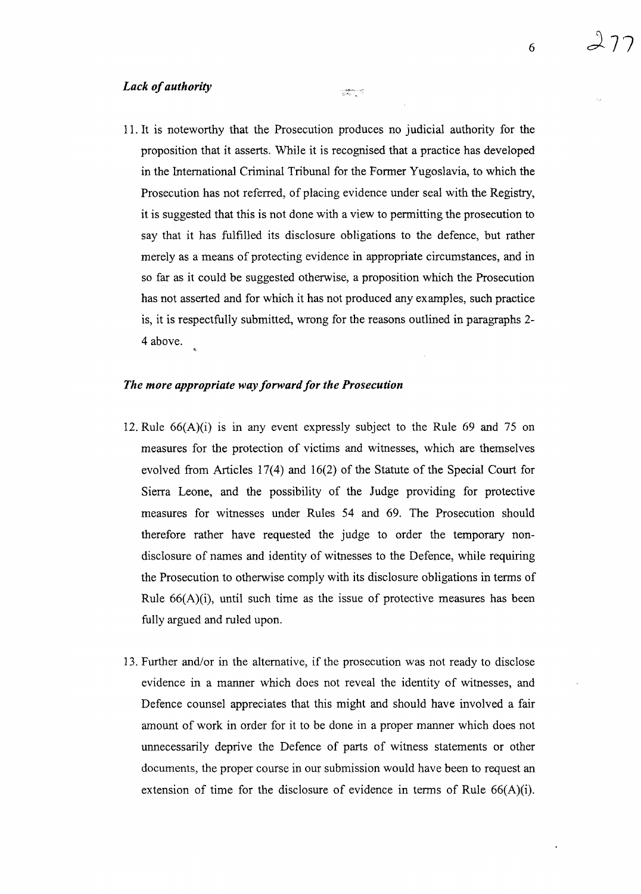11. It is noteworthy that the Prosecution produces no judicial authority for the proposition that it asserts. While it is recognised that a practice has developed in the International Criminal Tribunal for the Former Yugoslavia, to which the Prosecution has not referred, of placing evidence under seal with the Registry, it is suggested that this is not done with a view to permitting the prosecution to say that it has fulfilled its disclosure obligations to the defence, but rather merely as a means of protecting evidence in appropriate circumstances, and in so far as it could be suggested otherwise, a proposition which the Prosecution has not asserted and for which it has not produced any examples, such practice is, it is respectfully submitted, wrong for the reasons outlined in paragraphs 2- 4 above.

a <del>stan</del>ang

#### *The more appropriate way forward for the Prosecution*

- 12. Rule  $66(A)(i)$  is in any event expressly subject to the Rule 69 and 75 on measures for the protection of victims and witnesses, which are themselves evolved from Articles 17(4) and 16(2) of the Statute of the Special Court for Sierra Leone, and the possibility of the Judge providing for protective measures for witnesses under Rules 54 and 69. The Prosecution should therefore rather have requested the judge to order the temporary nondisclosure of names and identity of witnesses to the Defence, while requiring the Prosecution to otherwise comply with its disclosure obligations in terms of Rule 66(A)(i), until such time as the issue of protective measures has been fully argued and ruled upon.
- 13. Further and/or in the alternative, if the prosecution was not ready to disclose evidence in a manner which does not reveal the identity of witnesses, and Defence counsel appreciates that this might and should have involved a fair amount of work in order for it to be done in a proper manner which does not unnecessarily deprive the Defence of parts of witness statements or other documents, the proper course in our submission would have been to request an extension of time for the disclosure of evidence in terms of Rule 66(A)(i).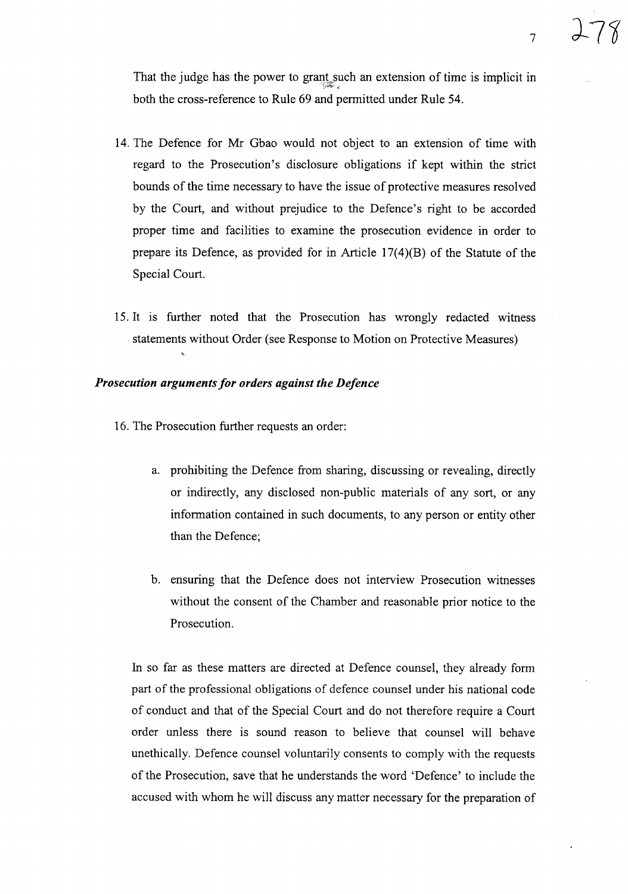That the judge has the power to grant such an extension of time is implicit in  $\mathbb{S}^{\mathbb{Z}_p}$  , both the cross-reference to Rule 69 and permitted under Rule 54.

- 14. The Defence for Mr Gbao would not object to an extension of time with regard to the Prosecution's disclosure obligations if kept within the strict bounds of the time necessary to have the issue of protective measures resolved by the Court, and without prejudice to the Defence's right to be accorded proper time and facilities to examine the prosecution evidence in order to prepare its Defence, as provided for in Article 17(4)(B) of the Statute of the Special Court.
- 15. It is further noted that the Prosecution has wrongly redacted witness statements without Order (see Response to Motion on Protective Measures)

## *Prosecution argumentsfor orders against the Defence*

- 16. The Prosecution further requests an order:
	- a. prohibiting the Defence from sharing, discussing or revealing, directly or indirectly, any disclosed non-public materials of any sort, or any information contained in such documents, to any person or entity other than the Defence;
	- b. ensuring that the Defence does not interview Prosecution witnesses without the consent of the Chamber and reasonable prior notice to the Prosecution.

In so far as these matters are directed at Defence counsel, they already form part of the professional obligations of defence counsel under his national code of conduct and that of the Special Court and do not therefore require a Court order unless there is sound reason to believe that counsel will behave unethically. Defence counsel voluntarily consents to comply with the requests of the Prosecution, save that he understands the word 'Defence' to include the accused with whom he will discuss any matter necessary for the preparation of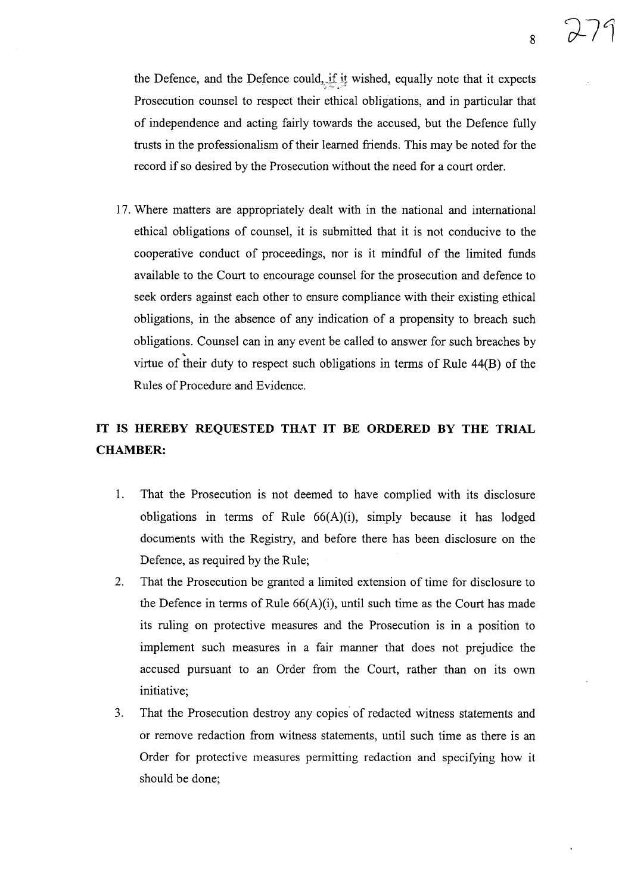the Defence, and the Defence could, if it wished, equally note that it expects Prosecution counsel to respect their ethical obligations, and in particular that of independence and acting fairly towards the accused, but the Defence fully trusts in the professionalism of their learned friends. This may be noted for the record if so desired by the Prosecution without the need for a court order.

17. Where matters are appropriately dealt with in the national and international ethical obligations of counsel, it is submitted that it is not conducive to the cooperative conduct of proceedings, nor is it mindful of the limited funds available to the Court to encourage counsel for the prosecution and defence to seek orders against each other to ensure compliance with their existing ethical obligations, in the absence of any indication of a propensity to breach such obligations. Counsel can in any event be called to answer for such breaches by virtue of their duty to respect such obligations in terms of Rule 44(B) of the Rules of Procedure and Evidence.

## **IT IS HEREBY REQUESTED THAT IT BE ORDERED BY THE TRIAL CHAMBER:**

- 1. That the Prosecution is not deemed to have complied with its disclosure obligations in terms of Rule  $66(A)(i)$ , simply because it has lodged documents with the Registry, and before there has been disclosure on the Defence, as required by the Rule;
- 2. That the Prosecution be granted a limited extension of time for disclosure to the Defence in terms of Rule 66(A)(i), until such time as the Court has made its ruling on protective measures and the Prosecution is in a position to implement such measures in a fair manner that does not prejudice the accused pursuant to an Order from the Court, rather than on its own initiative;
- 3. That the Prosecution destroy any copies of redacted witness statements and or remove redaction from witness statements, until such time as there is an Order for protective measures permitting redaction and specifying how it should be done;

8

 $\sigma$  /  $^{\prime}$